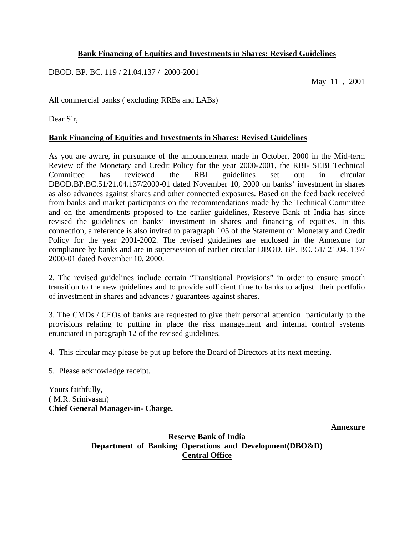# **Bank Financing of Equities and Investments in Shares: Revised Guidelines**

DBOD. BP. BC. 119 / 21.04.137 / 2000-2001

May 11 , 2001

All commercial banks ( excluding RRBs and LABs)

Dear Sir,

## **Bank Financing of Equities and Investments in Shares: Revised Guidelines**

As you are aware, in pursuance of the announcement made in October, 2000 in the Mid-term Review of the Monetary and Credit Policy for the year 2000-2001, the RBI- SEBI Technical Committee has reviewed the RBI guidelines set out in circular DBOD.BP.BC.51/21.04.137/2000-01 dated November 10, 2000 on banks' investment in shares as also advances against shares and other connected exposures. Based on the feed back received from banks and market participants on the recommendations made by the Technical Committee and on the amendments proposed to the earlier guidelines, Reserve Bank of India has since revised the guidelines on banks' investment in shares and financing of equities. In this connection, a reference is also invited to paragraph 105 of the Statement on Monetary and Credit Policy for the year 2001-2002. The revised guidelines are enclosed in the Annexure for compliance by banks and are in supersession of earlier circular DBOD. BP. BC. 51/ 21.04. 137/ 2000-01 dated November 10, 2000.

2. The revised guidelines include certain "Transitional Provisions" in order to ensure smooth transition to the new guidelines and to provide sufficient time to banks to adjust their portfolio of investment in shares and advances / guarantees against shares.

3. The CMDs / CEOs of banks are requested to give their personal attention particularly to the provisions relating to putting in place the risk management and internal control systems enunciated in paragraph 12 of the revised guidelines.

4. This circular may please be put up before the Board of Directors at its next meeting.

5. Please acknowledge receipt.

Yours faithfully, ( M.R. Srinivasan) **Chief General Manager-in- Charge.**

**Annexure**

**Reserve Bank of India Department of Banking Operations and Development(DBO&D) Central Office**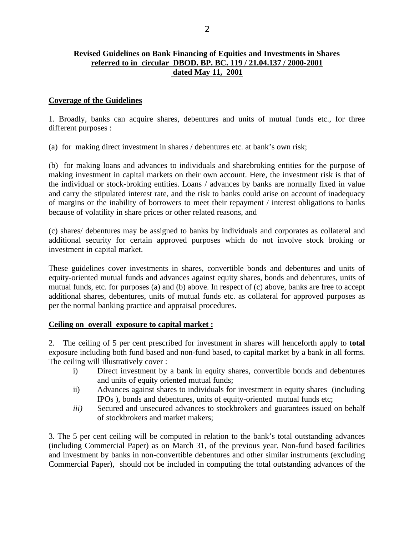### **Revised Guidelines on Bank Financing of Equities and Investments in Shares referred to in circular DBOD. BP. BC. 119 / 21.04.137 / 2000-2001 dated May 11, 2001**

### **Coverage of the Guidelines**

1. Broadly, banks can acquire shares, debentures and units of mutual funds etc., for three different purposes :

(a) for making direct investment in shares / debentures etc. at bank's own risk;

(b) for making loans and advances to individuals and sharebroking entities for the purpose of making investment in capital markets on their own account. Here, the investment risk is that of the individual or stock-broking entities. Loans / advances by banks are normally fixed in value and carry the stipulated interest rate, and the risk to banks could arise on account of inadequacy of margins or the inability of borrowers to meet their repayment / interest obligations to banks because of volatility in share prices or other related reasons, and

(c) shares/ debentures may be assigned to banks by individuals and corporates as collateral and additional security for certain approved purposes which do not involve stock broking or investment in capital market.

These guidelines cover investments in shares, convertible bonds and debentures and units of equity-oriented mutual funds and advances against equity shares, bonds and debentures, units of mutual funds, etc. for purposes (a) and (b) above. In respect of (c) above, banks are free to accept additional shares, debentures, units of mutual funds etc. as collateral for approved purposes as per the normal banking practice and appraisal procedures.

### **Ceiling on overall exposure to capital market :**

2. The ceiling of 5 per cent prescribed for investment in shares will henceforth apply to **total** exposure including both fund based and non-fund based, to capital market by a bank in all forms. The ceiling will illustratively cover :

- i) Direct investment by a bank in equity shares, convertible bonds and debentures and units of equity oriented mutual funds;
- ii) Advances against shares to individuals for investment in equity shares (including IPOs ), bonds and debentures, units of equity-oriented mutual funds etc;
- *iii*) Secured and unsecured advances to stockbrokers and guarantees issued on behalf of stockbrokers and market makers;

3. The 5 per cent ceiling will be computed in relation to the bank's total outstanding advances (including Commercial Paper) as on March 31, of the previous year. Non-fund based facilities and investment by banks in non-convertible debentures and other similar instruments (excluding Commercial Paper), should not be included in computing the total outstanding advances of the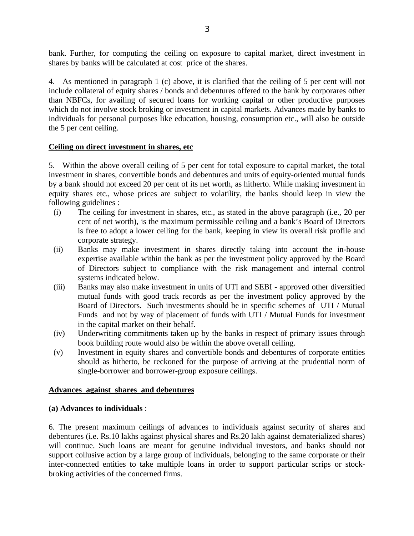bank. Further, for computing the ceiling on exposure to capital market, direct investment in shares by banks will be calculated at cost price of the shares.

4. As mentioned in paragraph 1 (c) above, it is clarified that the ceiling of 5 per cent will not include collateral of equity shares / bonds and debentures offered to the bank by corporares other than NBFCs, for availing of secured loans for working capital or other productive purposes which do not involve stock broking or investment in capital markets. Advances made by banks to individuals for personal purposes like education, housing, consumption etc., will also be outside the 5 per cent ceiling.

## **Ceiling on direct investment in shares, etc**

5. Within the above overall ceiling of 5 per cent for total exposure to capital market, the total investment in shares, convertible bonds and debentures and units of equity-oriented mutual funds by a bank should not exceed 20 per cent of its net worth, as hitherto. While making investment in equity shares etc., whose prices are subject to volatility, the banks should keep in view the following guidelines :

- (i) The ceiling for investment in shares, etc., as stated in the above paragraph (i.e., 20 per cent of net worth), is the maximum permissible ceiling and a bank's Board of Directors is free to adopt a lower ceiling for the bank, keeping in view its overall risk profile and corporate strategy.
- (ii) Banks may make investment in shares directly taking into account the in-house expertise available within the bank as per the investment policy approved by the Board of Directors subject to compliance with the risk management and internal control systems indicated below.
- (iii) Banks may also make investment in units of UTI and SEBI approved other diversified mutual funds with good track records as per the investment policy approved by the Board of Directors. Such investments should be in specific schemes of UTI / Mutual Funds and not by way of placement of funds with UTI / Mutual Funds for investment in the capital market on their behalf.
- (iv) Underwriting commitments taken up by the banks in respect of primary issues through book building route would also be within the above overall ceiling.
- (v) Investment in equity shares and convertible bonds and debentures of corporate entities should as hitherto, be reckoned for the purpose of arriving at the prudential norm of single-borrower and borrower-group exposure ceilings.

# **Advances against shares and debentures**

### **(a) Advances to individuals** :

6. The present maximum ceilings of advances to individuals against security of shares and debentures (i.e. Rs.10 lakhs against physical shares and Rs.20 lakh against dematerialized shares) will continue. Such loans are meant for genuine individual investors, and banks should not support collusive action by a large group of individuals, belonging to the same corporate or their inter-connected entities to take multiple loans in order to support particular scrips or stockbroking activities of the concerned firms.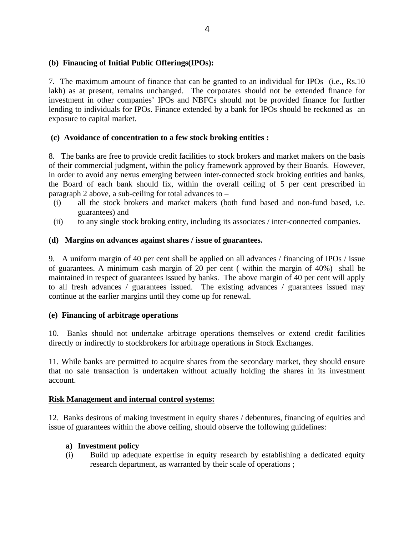## **(b) Financing of Initial Public Offerings(IPOs):**

7. The maximum amount of finance that can be granted to an individual for IPOs (i.e., Rs.10 lakh) as at present, remains unchanged. The corporates should not be extended finance for investment in other companies' IPOs and NBFCs should not be provided finance for further lending to individuals for IPOs. Finance extended by a bank for IPOs should be reckoned as an exposure to capital market.

## **(c) Avoidance of concentration to a few stock broking entities :**

8. The banks are free to provide credit facilities to stock brokers and market makers on the basis of their commercial judgment, within the policy framework approved by their Boards. However, in order to avoid any nexus emerging between inter-connected stock broking entities and banks, the Board of each bank should fix, within the overall ceiling of 5 per cent prescribed in paragraph 2 above, a sub-ceiling for total advances to –

- (i) all the stock brokers and market makers (both fund based and non-fund based, i.e. guarantees) and
- (ii) to any single stock broking entity, including its associates / inter-connected companies.

## **(d) Margins on advances against shares / issue of guarantees.**

9. A uniform margin of 40 per cent shall be applied on all advances / financing of IPOs / issue of guarantees. A minimum cash margin of 20 per cent ( within the margin of 40%) shall be maintained in respect of guarantees issued by banks. The above margin of 40 per cent will apply to all fresh advances / guarantees issued. The existing advances / guarantees issued may continue at the earlier margins until they come up for renewal.

### **(e) Financing of arbitrage operations**

10. Banks should not undertake arbitrage operations themselves or extend credit facilities directly or indirectly to stockbrokers for arbitrage operations in Stock Exchanges.

11. While banks are permitted to acquire shares from the secondary market, they should ensure that no sale transaction is undertaken without actually holding the shares in its investment account.

### **Risk Management and internal control systems:**

12. Banks desirous of making investment in equity shares / debentures, financing of equities and issue of guarantees within the above ceiling, should observe the following guidelines:

- **a) Investment policy**
- (i) Build up adequate expertise in equity research by establishing a dedicated equity research department, as warranted by their scale of operations ;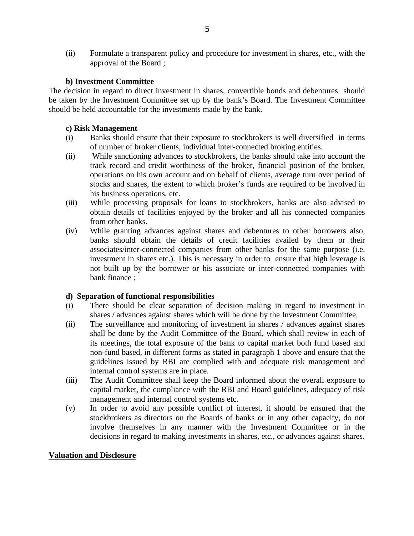(ii) Formulate a transparent policy and procedure for investment in shares, etc., with the approval of the Board ;

### **b) Investment Committee**

The decision in regard to direct investment in shares, convertible bonds and debentures should be taken by the Investment Committee set up by the bank's Board. The Investment Committee should be held accountable for the investments made by the bank.

### **c) Risk Management**

- (i) Banks should ensure that their exposure to stockbrokers is well diversified in terms of number of broker clients, individual inter-connected broking entities.
- (ii) While sanctioning advances to stockbrokers, the banks should take into account the track record and credit worthiness of the broker, financial position of the broker, operations on his own account and on behalf of clients, average turn over period of stocks and shares, the extent to which broker's funds are required to be involved in his business operations, etc.
- (iii) While processing proposals for loans to stockbrokers, banks are also advised to obtain details of facilities enjoyed by the broker and all his connected companies from other banks.
- (iv) While granting advances against shares and debentures to other borrowers also, banks should obtain the details of credit facilities availed by them or their associates/inter-connected companies from other banks for the same purpose (i.e. investment in shares etc.). This is necessary in order to ensure that high leverage is not built up by the borrower or his associate or inter-connected companies with bank finance ;

# **d) Separation of functional responsibilities**

- (i) There should be clear separation of decision making in regard to investment in shares / advances against shares which will be done by the Investment Committee,
- (ii) The surveillance and monitoring of investment in shares / advances against shares shall be done by the Audit Committee of the Board, which shall review in each of its meetings, the total exposure of the bank to capital market both fund based and non-fund based, in different forms as stated in paragraph 1 above and ensure that the guidelines issued by RBI are complied with and adequate risk management and internal control systems are in place.
- (iii) The Audit Committee shall keep the Board informed about the overall exposure to capital market, the compliance with the RBI and Board guidelines, adequacy of risk management and internal control systems etc.
- (v) In order to avoid any possible conflict of interest, it should be ensured that the stockbrokers as directors on the Boards of banks or in any other capacity, do not involve themselves in any manner with the Investment Committee or in the decisions in regard to making investments in shares, etc., or advances against shares.

### **Valuation and Disclosure**